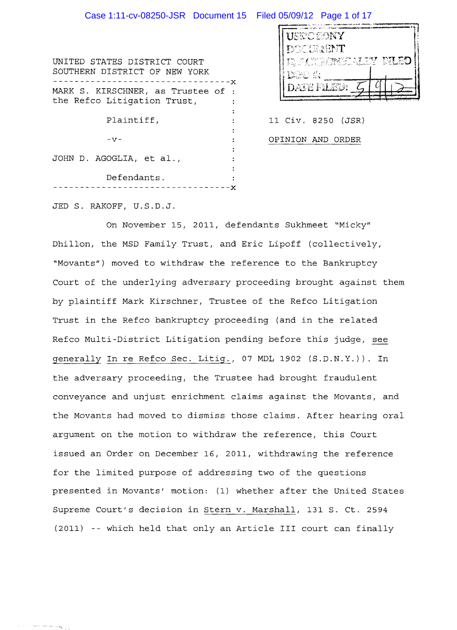# Case 1:11-cv-08250-JSR Document 15 Filed 05/09/12 Page 1 of 17

| UNITED STATES DISTRICT COURT<br>SOUTHERN DISTRICT OF NEW YORK     |  |
|-------------------------------------------------------------------|--|
| MARK S. KIRSCHNER, as Trustee of :<br>the Refco Litigation Trust, |  |
| Plaintiff,                                                        |  |
| $-57-$<br>JOHN D. AGOGLIA, et al.,                                |  |
| Defendants.                                                       |  |

| USTO EDNY                                           |  |
|-----------------------------------------------------|--|
| <b>FYDERRAENT</b>                                   |  |
| WIREKT MA<br>D. FET<br>- 1998年4月<br>Dryc si         |  |
| $\mathbf{E} = \frac{1}{2} \mathbf{e}^{-\mathbf{e}}$ |  |

11 Civ. 8250 (JSR) OPINION AND ORDER

JED S. RAKOFF, U.S.D.J.

On November IS, 2011, defendants Sukhmeet "Micky" Dhillon, the MSD Family Trust, and Eric Lipoff (collectively, "Movants") moved to withdraw the reference to the Bankruptcy Court of the underlying adversary proceeding brought against them by plaintiff Mark Kirschner, Trustee of the Refco Litigation Trust in the Refco bankruptcy proceeding (and in the related Refco Multi-District Litigation pending before this judge, see generally In re Refco Sec. Litig., 07 MDL 1902 (S.D.N.Y.)). In the adversary proceeding, the Trustee had brought fraudulent conveyance and unjust enrichment claims against the Movants, and the Movants had moved to dismiss those claims. After hearing oral argument on the motion to withdraw the reference, this Court issued an Order on December 16, 2011, withdrawing the reference for the limited purpose of addressing two of the questions presented in Movants' motion: (1) whether after the United States Supreme Court's decision in Stern v. Marshall, 131 S. Ct. 2594 (2011) -- which held that only an Article III court can finally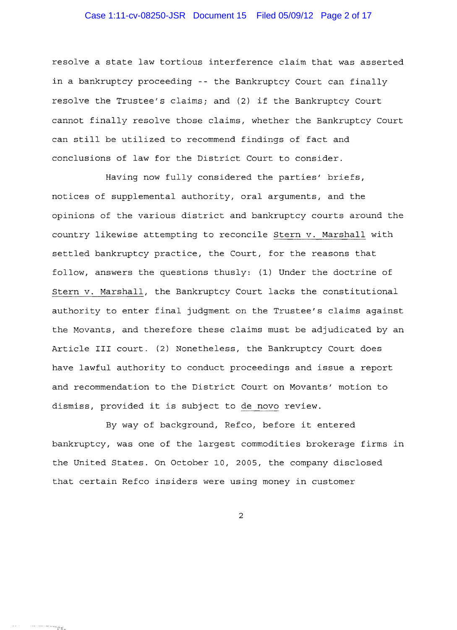## Case 1:11-cv-08250-JSR Document 15 Filed 05/09/12 Page 2 of 17

resolve a state law tortious interference claim that was asserted in a bankruptcy proceeding -- the Bankruptcy Court can finally resolve the Trustee's claims; and (2) if the Bankruptcy Court cannot finally resolve those claims, whether the Bankruptcy Court can still be utilized to recommend findings of fact and conclusions of law for the District Court to consider.

Having now fully considered the parties' briefs, notices of supplemental authority, oral arguments, and the opinions of the various district and bankruptcy courts around the country likewise attempting to reconcile Stern v. Marshall with settled bankruptcy practice, the Court, for the reasons that follow, answers the questions thusly: (1) Under the doctrine of Stern v. Marshall, the Bankruptcy Court lacks the constitutional authority to enter final judgment on the Trustee's claims against the Movants, and therefore these claims must be adjudicated by an Article III court. (2) Nonetheless, the Bankruptcy Court does have lawful authority to conduct proceedings and issue a report and recommendation to the District Court on Movants' motion to dismiss, provided it is subject to de novo review.

By way of background, Refco, before it entered bankruptcy, was one of the largest commodities brokerage firms in the United States. On October 10, 2005, the company disclosed that certain Refco insiders were using money in customer

2

 $\sim 10^{-1}$ 

叶树脂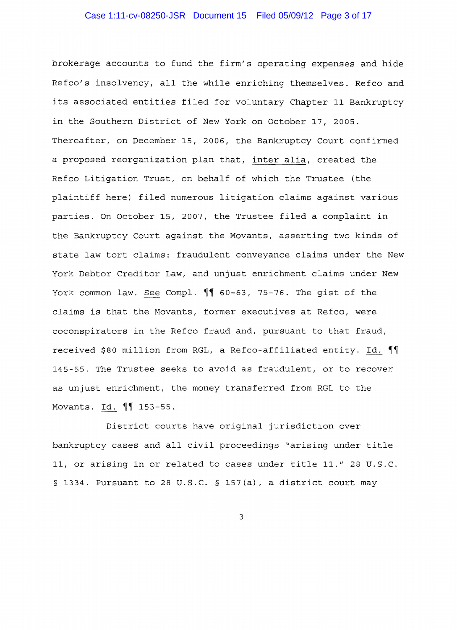## Case 1:11-cv-08250-JSR Document 15 Filed 05/09/12 Page 3 of 17

brokerage accounts to fund the firm's operating expenses and hide Refco's insolvency, all the while enriching themselves. Refco and its associated entities filed for voluntary Chapter 11 Bankruptcy in the Southern District of New York on October 17, 2005. Thereafter, on December 15, 2006, the Bankruptcy Court confirmed a proposed reorganization plan that, inter alia, created the Refco Litigation Trust, on behalf of which the Trustee (the plaintiff here) filed numerous litigation claims against various parties. On October 15, 2007, the Trustee filed a complaint in the Bankruptcy Court against the Movants, asserting two kinds of state law tort claims: fraudulent conveyance claims under the New York Debtor Creditor Law, and unjust enrichment claims under New York common law. See Compl.  $\P$  60-63, 75-76. The gist of the claims is that the Movants, former executives at Refco, were coconspirators in the Refco fraud and, pursuant to that fraud, received \$80 million from RGL, a Refco-affiliated entity. Id. 1 145-55. The Trustee seeks to avoid as fraudulent, or to recover as unjust enrichment, the money transferred from RGL to the Movants. Id. **11** 153-55.

District courts have original jurisdiction over bankruptcy cases and all civil proceedings "arising under title 11, or arising in or related to cases under title 11." 28 U.S.C. § 1334. Pursuant to 28 U.S.C. § 157(a), a district court may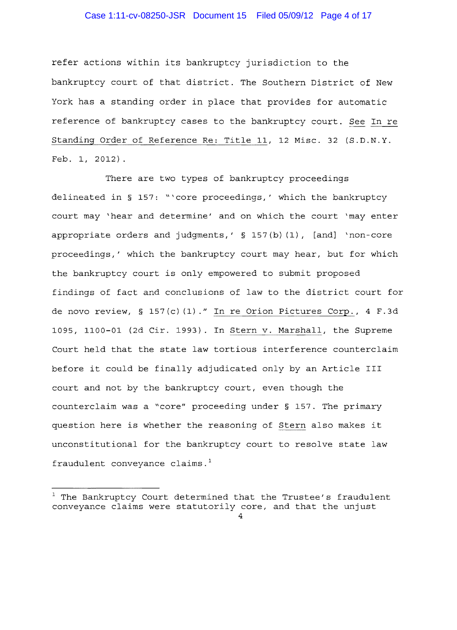# Case 1:11-cv-08250-JSR Document 15 Filed 05/09/12 Page 4 of 17

refer actions within its bankruptcy jurisdiction to the bankruptcy court of that district. The Southern District of New York has a standing order in place that provides for automatic reference of bankruptcy cases to the bankruptcy court. *See* In re Standing Order of Reference Re: Title 11, 12 Misc. 32 (S.D.N.Y. Feb. 1, 2012).

There are two types of bankruptcy proceedings delineated in § 157: "'core proceedings,' which the bankruptcy court may 'hear and determine' and on which the court 'may enter appropriate orders and judgments,' § 157(b) (1), [and] 'non-core proceedings,' which the bankruptcy court may hear, but for which the bankruptcy court is only empowered to submit proposed findings of fact and conclusions of law to the district court for de novo review, § 157 (c) (1) *."* In re Orion Pictures Corp., 4 F. 3d  $1095$ ,  $1100-01$  (2d Cir. 1993). In Stern v. Marshall, the Supreme Court held that the state law tortious interference counterclaim before it could be finally adjudicated only by an Article III court and not by the bankruptcy court, even though the counterclaim was a "core" proceeding under § 157. The primary question here is whether the reasoning of Stern also makes it unconstitutional for the bankruptcy court to resolve state law fraudulent conveyance claims. $<sup>1</sup>$ </sup>

 $^1$  The Bankruptcy Court determined that the Trustee's fraudulent conveyance claims were statutorily core, and that the unjust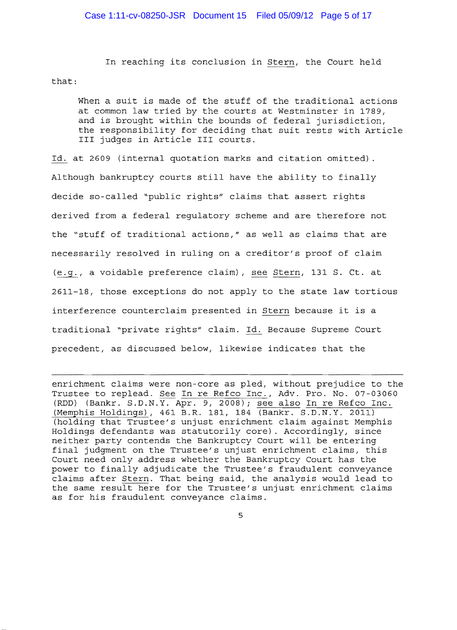In reaching its conclusion in *Stern*, the Court held that:

When a suit is made of the stuff of the traditional actions at common law tried by the courts at Westminster in 1789, and is brought within the bounds of federal jurisdiction, the responsibility for deciding that suit rests with Article III judges in Article III courts.

Id. at 2609 (internal quotation marks and citation omitted) . Although bankruptcy courts still have the ability to finally decide so-called "public rights" claims that assert rights derived from a federal regulatory scheme and are therefore not the "stuff of traditional *actions / "* as well as claims that are necessarily resolved in ruling on a creditor's proof of claim (~I a voidable preference claim) *1* see *Stern l* 131 S. Ct. at *2611-18 1* those exceptions do not apply to the state law tortious interference counterclaim presented in Stern because it is a traditional "private rights" claim. Id. Because Supreme Court precedent, as discussed below, likewise indicates that the

enrichment claims were non-core as pled, without prejudice to the Trustee to replead. See In re Refco Inc., Adv. Pro. No. 07-03060 (RDD) (Bankr. S.D.N.Y. Apr. 9, 2008); see also In re Refco Inc. (Memphis Holdings), 461 B.R. 181, 184 (Bankr. S.D.N.Y. 2011) (holding that Trustee/s unjust enrichment claim against Memphis Holdings defendants was statutorily core). Accordingly, since neither party contends the Bankruptcy Court will be entering final judgment on the Trustee's unjust enrichment claims, this Court need only address whether the Bankruptcy Court has the power to finally adjudicate the Trustee/s fraudulent conveyance claims after Stern. That being said*1* the analysis would lead to the same result here for the Trustee/s unjust enrichment claims as for his fraudulent conveyance claims.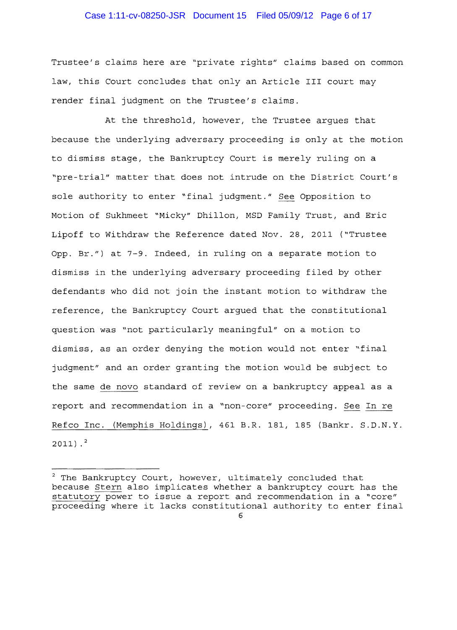#### Case 1:11-cv-08250-JSR Document 15 Filed 05/09/12 Page 6 of 17

Trustee's claims here are "private rights" claims based on common law, this court concludes that only an Article III court may render final judgment on the Trustee's claims.

At the threshold, however, the Trustee argues that because the underlying adversary proceeding is only at the motion to dismiss stage, the Bankruptcy Court is merely ruling on a "pre trial" matter that does not intrude on the District Court's sole authority to enter "final judgment." See Opposition to Motion of Sukhmeet "Micky" Dhillon, MSD Family Trust, and Eric Lipoff to Withdraw the Reference dated Nov. 28, 2011 ("Trustee Opp. Br.") at 7-9. Indeed, in ruling on a separate motion to dismiss in the underlying adversary proceeding filed by other defendants who did not join the instant motion to withdraw the reference, the Bankruptcy Court argued that the constitutional question was "not particularly meaningful" on a motion to dismiss, as an order denying the motion would not enter "final judgment" and an order granting the motion would be subject to the same de novo standard of review on a bankruptcy appeal as a report and recommendation in a "non-core" proceeding. See In re Refco Inc. (Memphis Holdings), 461 B.R. 181, 185 (Bankr. S.D.N.Y.  $2011$ ).<sup>2</sup>

 $2$  The Bankruptcy Court, however, ultimately concluded that because Stern also implicates whether a bankruptcy court has the statutory power to issue a report and recommendation in a "core" proceeding where it lacks constitutional authority to enter final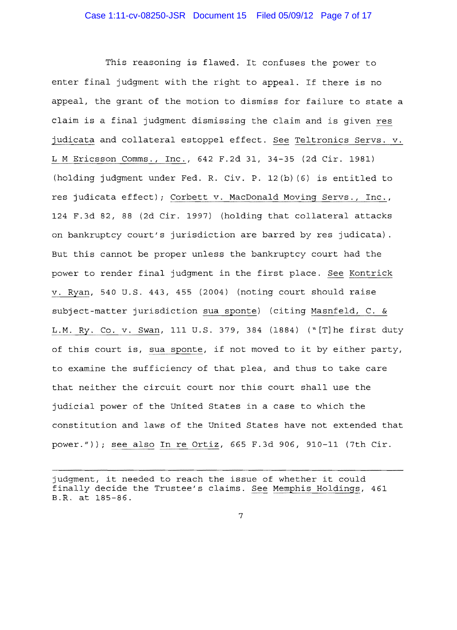This reasoning is flawed. It confuses the power to enter final judgment with the right to appeal. If there is no appeal, the grant of the motion to dismiss for failure to state a claim is a final judgment dismissing the claim and is given res judicata and collateral estoppel effect. See Teltronics Servs. v. L M Ericsson Comms., Inc., 642 F.2d 31, 34-35 (2d Cir. 1981) (holding judgment under Fed. R. Civ. P. 12(b) (6) is entitled to res judicata effect) *i* Corbett v. MacDonald Moving Servs., Inc., 124 F.3d 82, 88 (2d Cir. 1997) (holding that collateral attacks on bankruptcy court's jurisdiction are barred by res judicata). But this cannot be proper unless the bankruptcy court had the power to render final judgment in the first place. See Kontrick v. Ryan, 540 U.S. 443, 455 (2004) (noting court should raise subject-matter jurisdiction sua sponte) (citing Masnfeld, C. & L.M. Ry. Co. v. Swan, 111 U.S. 379, 384 (1884) ("[T]he first duty of this court is, sua sponte, if not moved to it by either party, to examine the sufficiency of that plea, and thus to take care that neither the circuit court nor this court shall use the judicial power of the United States in a case to which the constitution and laws of the United States have not extended that power.")); see also In re Ortiz, 665 F.3d 906, 910-11 (7th Cir.

judgment, it needed to reach the issue of whether it could finally decide the Trustee's claims. See Memphis Holdings, 461 B.R. at 185-86.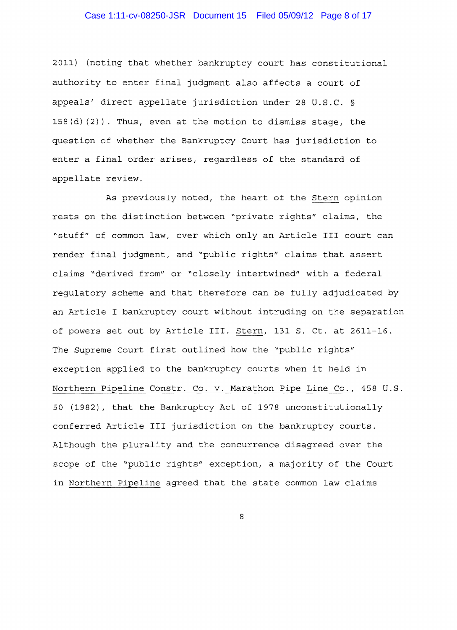## Case 1:11-cv-08250-JSR Document 15 Filed 05/09/12 Page 8 of 17

2011) (noting that whether bankruptcy court has constitutional authority to enter final judgment also affects a court of appeals' direct appellate jurisdiction under 28 U.S.C. §  $158(d)(2)$ ). Thus, even at the motion to dismiss stage, the question of whether the Bankruptcy Court has jurisdiction to enter a final order arises, regardless of the standard of appellate review.

As previously noted, the heart of the Stern opinion rests on the distinction between "private rights" claims, the "stuff" of common law, over which only an Article III court can render final judgment, and "public rights" claims that assert claims "derived from" or "closely intertwined" with a federal regulatory scheme and that therefore can be fully adjudicated by an Article I bankruptcy court without intruding on the separation of powers set out by Article III. Stern, 131 S. Ct. at 2611-16. The Supreme Court first outlined how the "public rights" exception applied to the bankruptcy courts when it held in Northern Pipeline Constr. Co. v. Marathon Pipe Line *Co.,* 458 U.S. 50 (1982), that the Bankruptcy Act of 1978 unconstitutionally conferred Article III jurisdiction on the bankruptcy courts. Although the plurality and the concurrence disagreed over the scope of the "public rights" exception, a majority of the Court in Northern Pipeline agreed that the state common law claims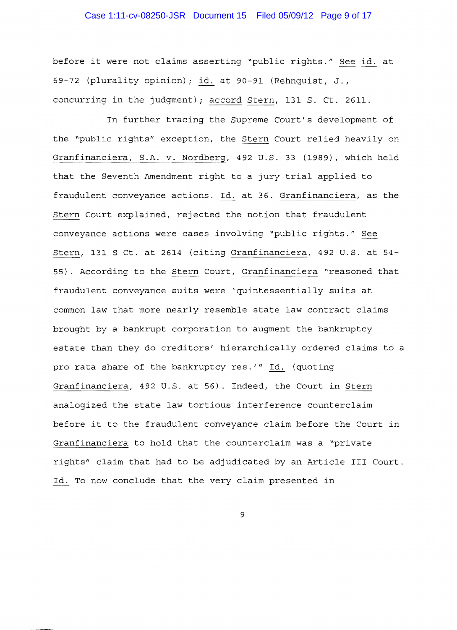## Case 1:11-cv-08250-JSR Document 15 Filed 05/09/12 Page 9 of 17

before it were not claims asserting "public rights." See id. at 69-72 (plurality opinion); id. at 90-91 (Rehnquist, J., concurring in the judgment); accord Stern, 131 S. Ct. 2611.

In further tracing the Supreme Court/s development of the "public rights" exception, the Stern Court relied heavily on Granfinanciera, S.A. v. Nordberg, 492 U.S. 33 (1989), which held that the Seventh Amendment right to a jury trial applied to fraudulent conveyance actions. Id. at 36. Granfinanciera, as the Stern Court explained, rejected the notion that fraudulent conveyance actions were cases involving "public rights." See Stern, 131 S Ct. at 2614 (citing Granfinanciera, 492 U.S. at 54 55). According to the Stern Court, Granfinanciera "reasoned that fraudulent conveyance suits were 'quintessentially suits at common law that more nearly resemble state law contract claims brought by a bankrupt corporation to augment the bankruptcy estate than they do creditors' hierarchically ordered claims to a pro rata share of the bankruptcy res.'" Id. (quoting Granfinanciera, 492 U.S. at 56). Indeed, the Court in Stern analogized the state law tortious interference counterclaim before it to the fraudulent conveyance claim before the Court in Granfinanciera to hold that the counterclaim was a "private rights" claim that had to be adjudicated by an Article III Court. Id. To now conclude that the very claim presented in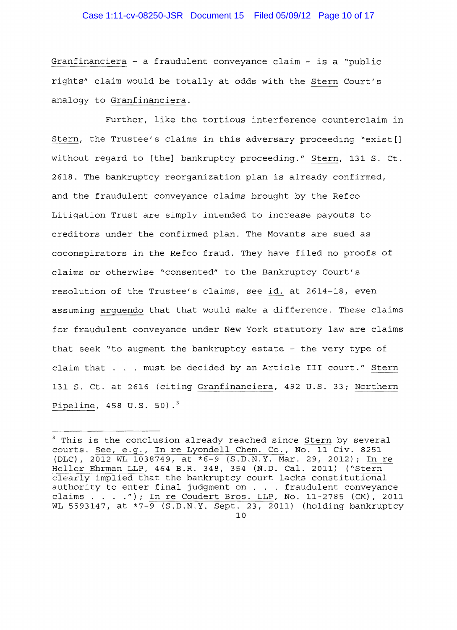Granfinanciera - a fraudulent convevance claim - is a "public rights" claim would be totally at odds with the Stern Court's analogy to Granfinanciera.

Further, like the tortious interference counterclaim in Stern, the Trustee's claims in this adversary proceeding "exist[] without regard to [the] bankruptcy proceeding." Stern, 131 S. Ct. 2618. The bankruptcy reorganization plan is already confirmed, and the fraudulent conveyance claims brought by the Refco Litigation Trust are simply intended to increase payouts to creditors under the confirmed plan. The Movants are sued as coconspirators in the Refco fraud. They have filed no proofs of claims or otherwise "consented" to the Bankruptcy Court's resolution of the Trustee's claims, §ee id. at 2614-18, even assuming arguendo that that would make a difference. These claims for fraudulent conveyance under New York statutory law are claims that seek "to augment the bankruptcy estate - the very type of claim that . . . must be decided by an Article III court." Stern 131 S. Ct. at 2616 {citing Granfinanciera, 492 U.S. 33; Northern Pipeline,  $458 \text{ U.S. } 50$ ).<sup>3</sup>

<sup>&</sup>lt;sup>3</sup> This is the conclusion already reached since Stern by several courts. See, e.g., In re Lyondell Chem. Co., No. 11 Civ. 8251 (DLC), 2012 WL 1038749, at \*6-9 (S.D.N.Y. Mar. 29, 2012); In re Heller Ehrman LLP, 464 B.R. 348, 354 (N.D. Cal. 2011) ("Stern clearly implied that the bankruptcy court lacks constitutional authority to enter final judgment on. . fraudulent conveyance claims . . . ."); In re Coudert Bros. LLP, No. 11-2785 (CM), 2011 WL 5593147, at  $*7-\overline{9}$  (S.D.N.Y. Sept. 23, 2011) (holding bankruptcy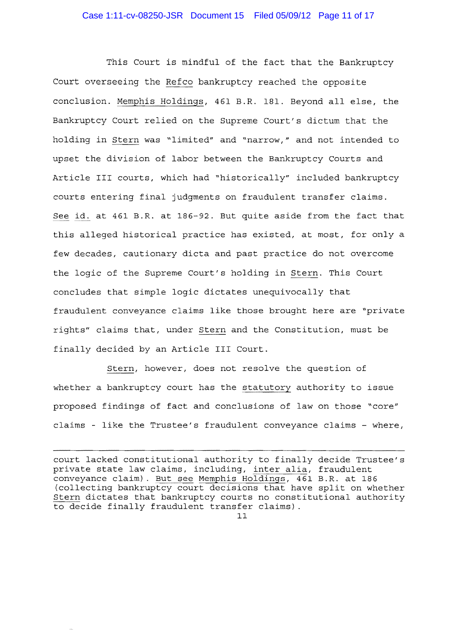This Court is mindful of the fact that the Bankruptcy Court overseeing the Refco bankruptcy reached the opposite conclusion. Memphis Holdings, 461 B.R. 181. Beyond all else, the Bankruptcy Court relied on the Supreme Court's dictum that the holding in Stern was "limited" and "narrow," and not intended to upset the division of labor between the Bankruptcy Courts and Article III courts, which had "historically" included bankruptcy courts entering final judgments on fraudulent transfer claims. See id. at 461 B.R. at 186-92. But quite aside from the fact that this alleged historical practice has existed, at most, for only a few decades, cautionary dicta and past practice do not overcome the logic of the Supreme Court's holding in Stern. This Court concludes that simple logic dictates unequivocally that fraudulent conveyance claims like those brought here are "private rights" claims that, under Stern and the Constitution, must be finally decided by an Article III Court.

Stern, however, does not resolve the question of whether a bankruptcy court has the statutory authority to issue proposed findings of fact and conclusions of law on those "core" claims - like the Trustee's fraudulent conveyance claims - where,

court lacked constitutional authority to finally decide Trustee's private state law claims, including, inter alia, fraudulent conveyance claim). But see Memphis Holdings, 461 B.R. at 186 (collecting bankruptcy court decisions that have split on whether Stern dictates that bankruptcy courts no constitutional authority to decide finally fraudulent transfer claims) .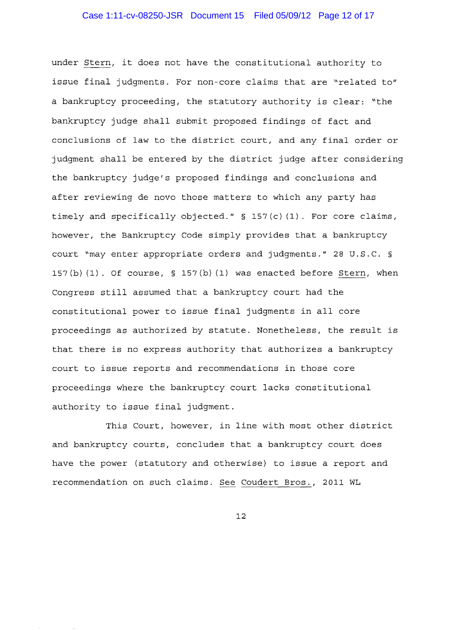#### Case 1:11-cv-08250-JSR Document 15 Filed 05/09/12 Page 12 of 17

under Stern, it does not have the constitutional authority to issue final judgments. For non-core claims that are "related to" a bankruptcy proceeding, the statutory authority is clear: "the bankruptcy judge shall submit proposed findings of fact and conclusions of law to the district court, and any final order or judgment shall be entered by the district judge after considering the bankruptcy judge's proposed findings and conclusions and after reviewing de novo those matters to which any party has timely and specifically objected."  $\S$  157(c)(1). For core claims, however, the Bankruptcy Code simply provides that a bankruptcy court "may enter appropriate orders and judgments." 28 U.S.C. § 157(b) (1). Of course, § 157(b) (1) was enacted before Stern, when Congress still assumed that a bankruptcy court had the constitutional power to issue final judgments in all core proceedings as authorized by statute. Nonetheless, the result is that there is no express authority that authorizes a bankruptcy court to issue reports and recommendations in those core proceedings where the bankruptcy court lacks constitutional authority to issue final judgment.

This Court, however, in line with most other district and bankruptcy courts, concludes that a bankruptcy court does have the power (statutory and otherwise) to issue a report and recommendation on such claims. See Coudert Bros., 2011 WL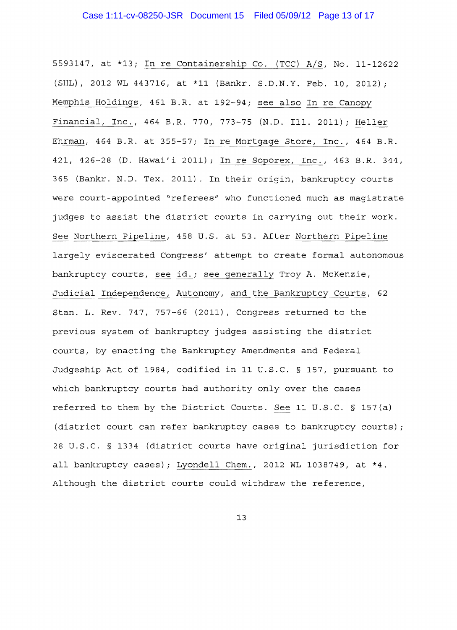5593147, at \*13; In re Containership Co. (TCC) A/S, No. 11-12622 (SHL) , 2012 WL 443716, at \*11 (Bankr. S.D.N.Y. Feb. 10, 2012); Memphis Holdings, 461 B.R. at 192-94; see also In re Canopy Financial, Inc., 464 B.R. 770, 773-75 (N.D. Ill. 2011); Heller Ehrman, 464 B.R. at 355-57; In re Mortgage Store, Inc., 464 B.R. 421, 426-28 (D. Hawai'i 2011); In re Soporex, Inc., 463 B.R. 344, 365 (Bankr. N.D. Tex. 2011). In their origin, bankruptcy courts were court-appointed "referees" who functioned much as magistrate judges to assist the district courts in carrying out their work. See Northern Pipeline, 458 U.S. at 53. After Northern Pipeline largely eviscerated Congress' attempt to create formal autonomous bankruptcy courts, see id.; see generally Troy A. McKenzie, Judicial Independence, Autonomy, and the Bankruptcy Courts, 62 Stan. L. Rev. 747, 757-66 (2011), Congress returned to the previous system of bankruptcy judges assisting the district courts, by enacting the Bankruptcy Amendments and Federal Judgeship Act of 1984, codified in 11 U.S.C. § 157, pursuant to which bankruptcy courts had authority only over the cases referred to them by the District Courts. See 11 U.S.C. § 157(a) (district court can refer bankruptcy cases to bankruptcy courts); 28 U.S.C. § 1334 (district courts have original jurisdiction for all bankruptcy cases); Lyondell Chem., 2012 WL 1038749, at \*4. Although the district courts could withdraw the reference,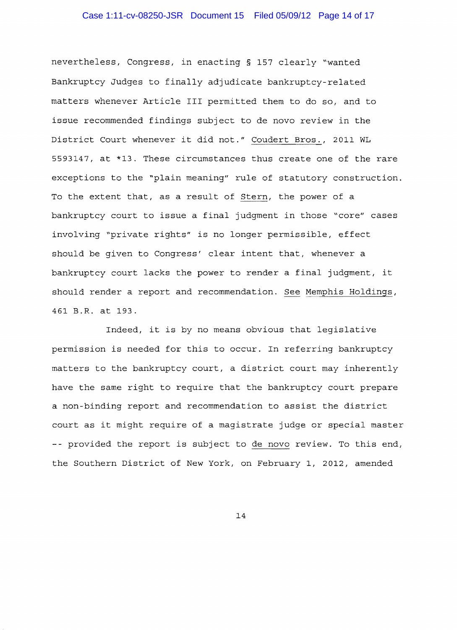#### Case 1:11-cv-08250-JSR Document 15 Filed 05/09/12 Page 14 of 17

nevertheless, Congress, in enacting § 157 clearly "wanted Bankruptcy Judges to finally adjudicate bankruptcy-related matters whenever Article III permitted them to do so, and to issue recommended findings subject to de novo review in the District Court whenever it did not." Coudert Bros., 2011 WL *5593147 1* at \*13. These circumstances thus create one of the rare exceptions to the "plain meaning" rule of statutory construction. To the extent that, as a result of Stern, the power of a bankruptcy court to issue a final judgment in those "core" cases involving "private rights" is no longer permissible, effect should be given to Congress' clear intent that, whenever a bankruptcy court lacks the power to render a final judgment, it should render a report and recommendation. See Memphis Holdings, 461 B.R. at 193.

Indeed, it is by no means obvious that legislative permission is needed for this to occur. In referring bankruptcy matters to the bankruptcy court, a district court may inherently have the same right to require that the bankruptcy court prepare a non binding report and recommendation to assist the district court as it might require of a magistrate judge or special master -- provided the report is subject to de novo review. To this end, the Southern District of New York, on February 1, 2012, amended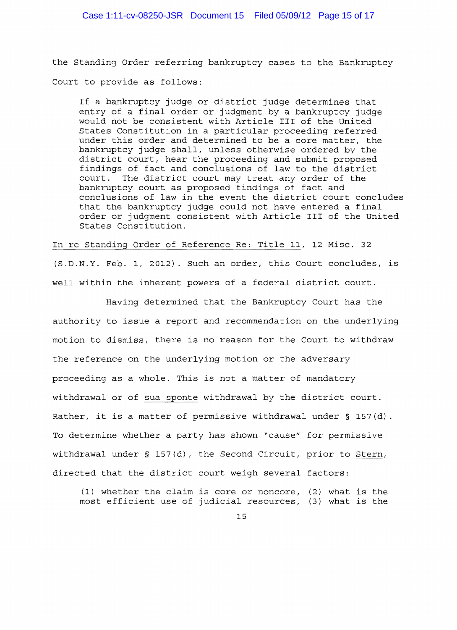the Standing Order referring bankruptcy cases to the Bankruptcy Court to provide as follows:

If a bankruptcy judge or district judge determines that entry of a final order or judgment by a bankruptcy judge would not be consistent with Article III of the United States Constitution in a particular proceeding referred under this order and determined to be a core matter, the bankruptcy judge shall, unless otherwise ordered by the district court, hear the proceeding and submit proposed findings of fact and conclusions of law to the district<br>court. The district court may treat any order of the The district court may treat any order of the bankruptcy court as proposed findings of fact and conclusions of law in the event the district court concludes that the bankruptcy judge could not have entered a final order or judgment consistent with Article III of the United States Constitution.

In re Standing Order of Reference Re: Title 11, 12 Misc. 32 (S.D.N.Y. Feb. 1, 2012). Such an order, this Court concludes, is well within the inherent powers of a federal district court.

Having determined that the Bankruptcy Court has the authority to issue a report and recommendation on the underlying motion to dismiss, there is no reason for the Court to withdraw the reference on the underlying motion or the adversary proceeding as a whole. This is not a matter of mandatory withdrawal or of sua sponte withdrawal by the district court. Rather, it is a matter of permissive withdrawal under § 157(d). To determine whether a party has shown "cause" for permissive withdrawal under § 157(d), the Second Circuit, prior to Stern, directed that the district court weigh several factors:

(1) whether the claim is core or noncore, (2) what is the most efficient use of judicial resources, (3) what is the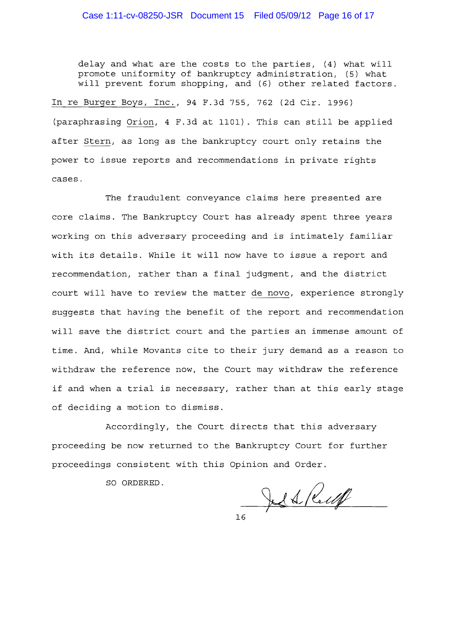delay and what are the costs to the parties, (4) what will promote uniformity of bankruptcy administration, (5) what will prevent forum shopping, and (6) other related factors.

In re Burger Boys, Inc., 94 F.3d 755, 762 (2d Cir. 1996) (paraphrasing Orion, 4 F.3d at 1101). This can still be applied after Stern, as long as the bankruptcy court only retains the power to issue reports and recommendations in private rights cases.

The fraudulent conveyance claims here presented are core claims. The Bankruptcy Court has already spent three years working on this adversary proceeding and is intimately familiar with its details. While it will now have to issue a report and recommendation, rather than a final judgment, and the district court will have to review the matter de novo, experience strongly suggests that having the benefit of the report and recommendation will save the district court and the parties an immense amount of time. And, while Movants cite to their jury demand as a reason to withdraw the reference now, the Court may withdraw the reference if and when a trial is necessary, rather than at this early stage of deciding a motion to dismiss.

Accordingly, the Court directs that this adversary proceeding be now returned to the Bankruptcy Court for further proceedings consistent with this Opinion and Order.

SO ORDERED.

Jed Ruff